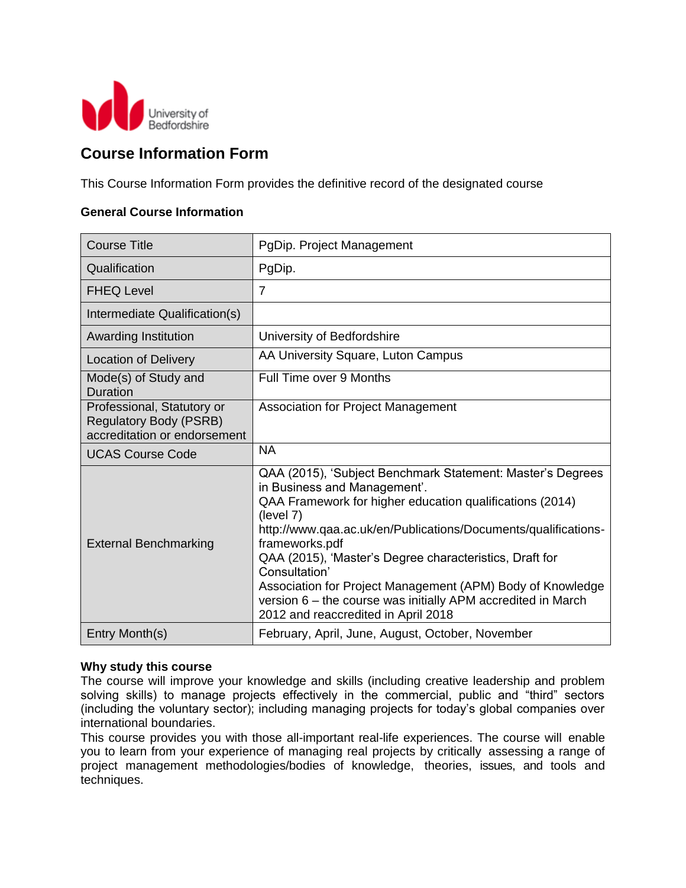

### **Course Information Form**

This Course Information Form provides the definitive record of the designated course

#### **General Course Information**

| <b>Course Title</b>                                                                         | PgDip. Project Management                                                                                                                                                                                                                                                                                                                                                                                                                                         |
|---------------------------------------------------------------------------------------------|-------------------------------------------------------------------------------------------------------------------------------------------------------------------------------------------------------------------------------------------------------------------------------------------------------------------------------------------------------------------------------------------------------------------------------------------------------------------|
| Qualification                                                                               | PgDip.                                                                                                                                                                                                                                                                                                                                                                                                                                                            |
| <b>FHEQ Level</b>                                                                           | $\overline{7}$                                                                                                                                                                                                                                                                                                                                                                                                                                                    |
| Intermediate Qualification(s)                                                               |                                                                                                                                                                                                                                                                                                                                                                                                                                                                   |
| Awarding Institution                                                                        | University of Bedfordshire                                                                                                                                                                                                                                                                                                                                                                                                                                        |
| <b>Location of Delivery</b>                                                                 | AA University Square, Luton Campus                                                                                                                                                                                                                                                                                                                                                                                                                                |
| Mode(s) of Study and<br><b>Duration</b>                                                     | Full Time over 9 Months                                                                                                                                                                                                                                                                                                                                                                                                                                           |
| Professional, Statutory or<br><b>Regulatory Body (PSRB)</b><br>accreditation or endorsement | <b>Association for Project Management</b>                                                                                                                                                                                                                                                                                                                                                                                                                         |
| <b>UCAS Course Code</b>                                                                     | <b>NA</b>                                                                                                                                                                                                                                                                                                                                                                                                                                                         |
| <b>External Benchmarking</b>                                                                | QAA (2015), 'Subject Benchmark Statement: Master's Degrees<br>in Business and Management'.<br>QAA Framework for higher education qualifications (2014)<br>(level 7)<br>http://www.qaa.ac.uk/en/Publications/Documents/qualifications-<br>frameworks.pdf<br>QAA (2015), 'Master's Degree characteristics, Draft for<br>Consultation'<br>Association for Project Management (APM) Body of Knowledge<br>version 6 - the course was initially APM accredited in March |
|                                                                                             | 2012 and reaccredited in April 2018                                                                                                                                                                                                                                                                                                                                                                                                                               |

#### **Why study this course**

The course will improve your knowledge and skills (including creative leadership and problem solving skills) to manage projects effectively in the commercial, public and "third" sectors (including the voluntary sector); including managing projects for today's global companies over international boundaries.

This course provides you with those all-important real-life experiences. The course will enable you to learn from your experience of managing real projects by critically assessing a range of project management methodologies/bodies of knowledge, theories, issues, and tools and techniques.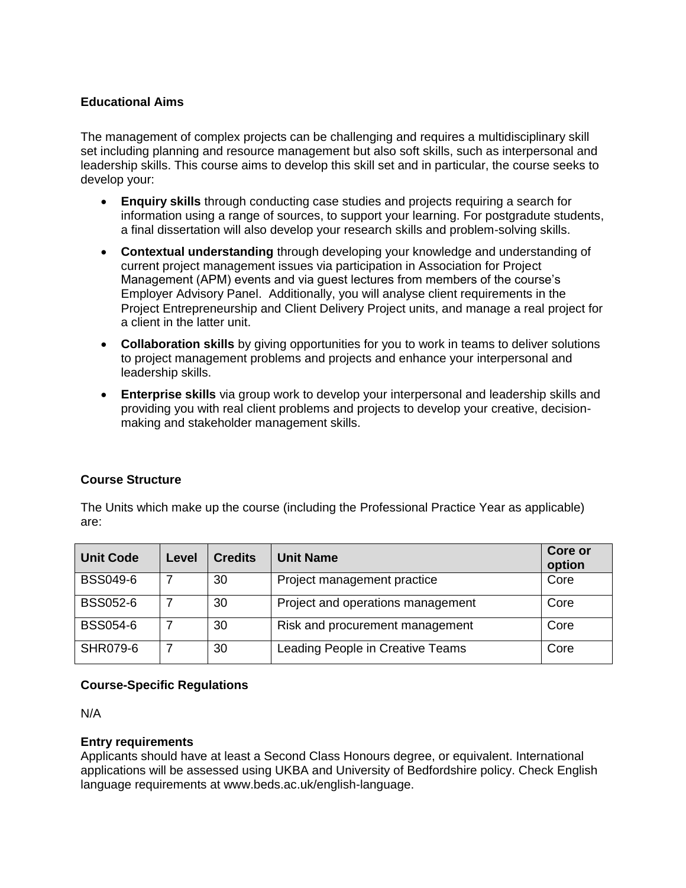#### **Educational Aims**

The management of complex projects can be challenging and requires a multidisciplinary skill set including planning and resource management but also soft skills, such as interpersonal and leadership skills. This course aims to develop this skill set and in particular, the course seeks to develop your:

- **Enquiry skills** through conducting case studies and projects requiring a search for information using a range of sources, to support your learning. For postgradute students, a final dissertation will also develop your research skills and problem-solving skills.
- **Contextual understanding** through developing your knowledge and understanding of current project management issues via participation in Association for Project Management (APM) events and via guest lectures from members of the course's Employer Advisory Panel. Additionally, you will analyse client requirements in the Project Entrepreneurship and Client Delivery Project units, and manage a real project for a client in the latter unit.
- **Collaboration skills** by giving opportunities for you to work in teams to deliver solutions to project management problems and projects and enhance your interpersonal and leadership skills.
- **Enterprise skills** via group work to develop your interpersonal and leadership skills and providing you with real client problems and projects to develop your creative, decisionmaking and stakeholder management skills.

#### **Course Structure**

The Units which make up the course (including the Professional Practice Year as applicable) are:

| <b>Unit Code</b> | Level | <b>Credits</b> | <b>Unit Name</b>                  | <b>Core or</b><br>option |
|------------------|-------|----------------|-----------------------------------|--------------------------|
| <b>BSS049-6</b>  |       | 30             | Project management practice       | Core                     |
| <b>BSS052-6</b>  |       | 30             | Project and operations management | Core                     |
| <b>BSS054-6</b>  |       | 30             | Risk and procurement management   | Core                     |
| <b>SHR079-6</b>  |       | 30             | Leading People in Creative Teams  | Core                     |

#### **Course-Specific Regulations**

N/A

#### **Entry requirements**

Applicants should have at least a Second Class Honours degree, or equivalent. International applications will be assessed using UKBA and University of Bedfordshire policy. Check English language requirements at www.beds.ac.uk/english-language.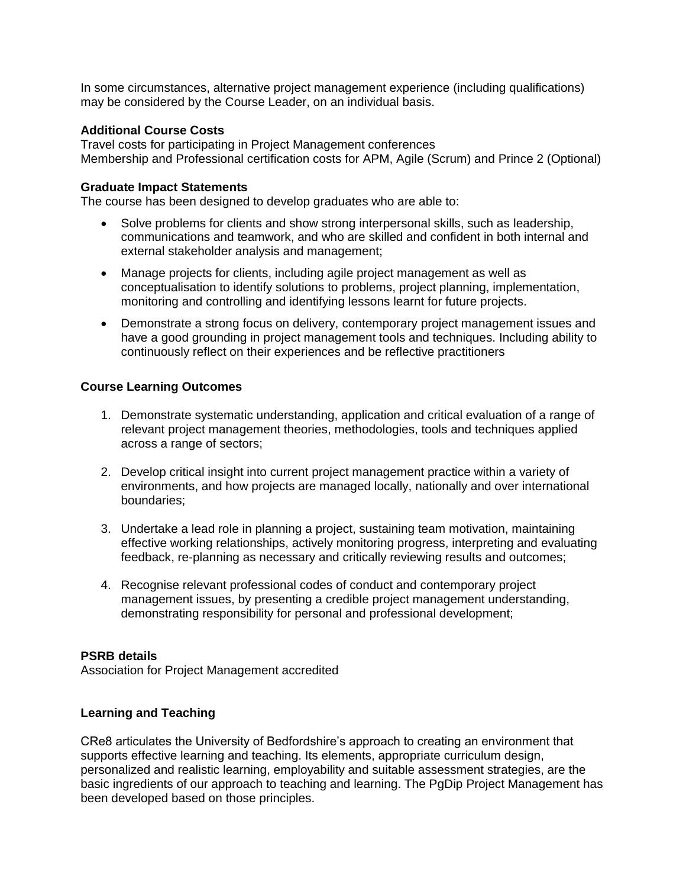In some circumstances, alternative project management experience (including qualifications) may be considered by the Course Leader, on an individual basis.

#### **Additional Course Costs**

Travel costs for participating in Project Management conferences Membership and Professional certification costs for APM, Agile (Scrum) and Prince 2 (Optional)

#### **Graduate Impact Statements**

The course has been designed to develop graduates who are able to:

- Solve problems for clients and show strong interpersonal skills, such as leadership, communications and teamwork, and who are skilled and confident in both internal and external stakeholder analysis and management;
- Manage projects for clients, including agile project management as well as conceptualisation to identify solutions to problems, project planning, implementation, monitoring and controlling and identifying lessons learnt for future projects.
- Demonstrate a strong focus on delivery, contemporary project management issues and have a good grounding in project management tools and techniques. Including ability to continuously reflect on their experiences and be reflective practitioners

#### **Course Learning Outcomes**

- 1. Demonstrate systematic understanding, application and critical evaluation of a range of relevant project management theories, methodologies, tools and techniques applied across a range of sectors;
- 2. Develop critical insight into current project management practice within a variety of environments, and how projects are managed locally, nationally and over international boundaries;
- 3. Undertake a lead role in planning a project, sustaining team motivation, maintaining effective working relationships, actively monitoring progress, interpreting and evaluating feedback, re-planning as necessary and critically reviewing results and outcomes;
- 4. Recognise relevant professional codes of conduct and contemporary project management issues, by presenting a credible project management understanding, demonstrating responsibility for personal and professional development;

#### **PSRB details**

Association for Project Management accredited

#### **Learning and Teaching**

CRe8 articulates the University of Bedfordshire's approach to creating an environment that supports effective learning and teaching. Its elements, appropriate curriculum design, personalized and realistic learning, employability and suitable assessment strategies, are the basic ingredients of our approach to teaching and learning. The PgDip Project Management has been developed based on those principles.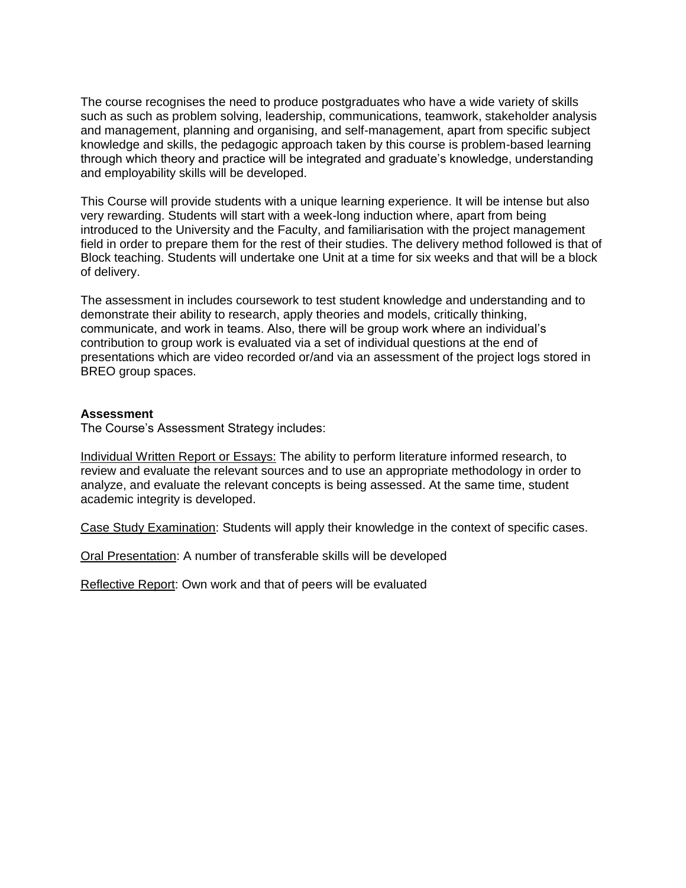The course recognises the need to produce postgraduates who have a wide variety of skills such as such as problem solving, leadership, communications, teamwork, stakeholder analysis and management, planning and organising, and self-management, apart from specific subject knowledge and skills, the pedagogic approach taken by this course is problem-based learning through which theory and practice will be integrated and graduate's knowledge, understanding and employability skills will be developed.

This Course will provide students with a unique learning experience. It will be intense but also very rewarding. Students will start with a week-long induction where, apart from being introduced to the University and the Faculty, and familiarisation with the project management field in order to prepare them for the rest of their studies. The delivery method followed is that of Block teaching. Students will undertake one Unit at a time for six weeks and that will be a block of delivery.

The assessment in includes coursework to test student knowledge and understanding and to demonstrate their ability to research, apply theories and models, critically thinking, communicate, and work in teams. Also, there will be group work where an individual's contribution to group work is evaluated via a set of individual questions at the end of presentations which are video recorded or/and via an assessment of the project logs stored in BREO group spaces.

#### **Assessment**

The Course's Assessment Strategy includes:

Individual Written Report or Essays: The ability to perform literature informed research, to review and evaluate the relevant sources and to use an appropriate methodology in order to analyze, and evaluate the relevant concepts is being assessed. At the same time, student academic integrity is developed.

Case Study Examination: Students will apply their knowledge in the context of specific cases.

Oral Presentation: A number of transferable skills will be developed

Reflective Report: Own work and that of peers will be evaluated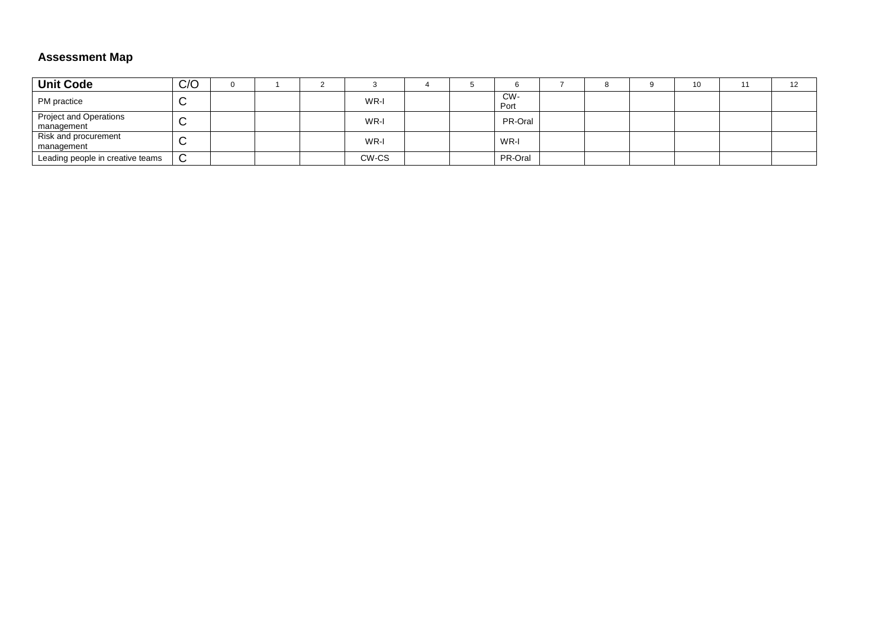#### **Assessment Map**

| <b>Unit Code</b>                            | C/O         |  |       |  |             |  | 10 | 12 |
|---------------------------------------------|-------------|--|-------|--|-------------|--|----|----|
| PM practice                                 | ⌒<br>ັ      |  | WR-I  |  | CW-<br>Port |  |    |    |
| <b>Project and Operations</b><br>management | $\sim$<br>ີ |  | WR-I  |  | PR-Oral     |  |    |    |
| Risk and procurement<br>management          | $\sim$<br>ີ |  | WR-I  |  | WR-I        |  |    |    |
| Leading people in creative teams            | $\sim$<br>◡ |  | CW-CS |  | PR-Oral     |  |    |    |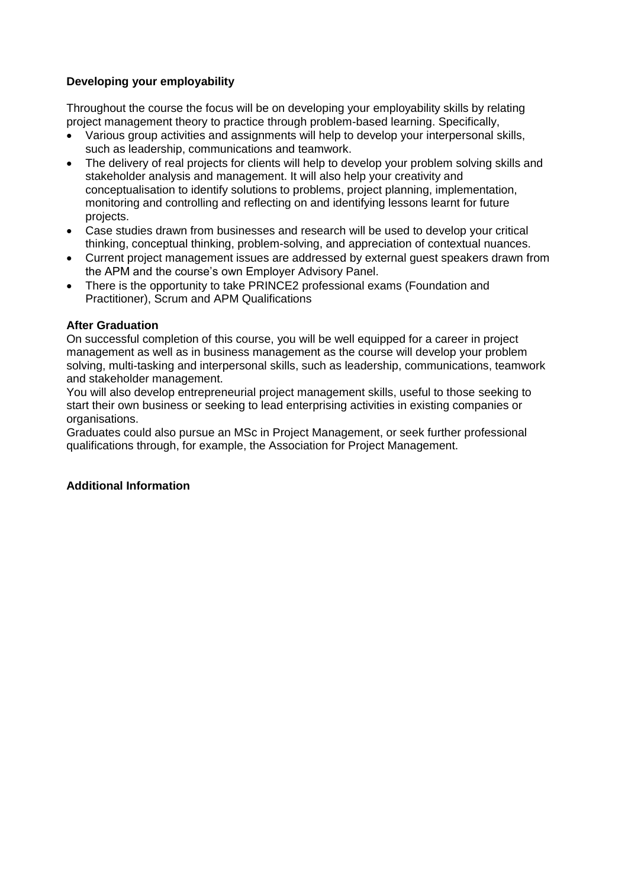#### **Developing your employability**

Throughout the course the focus will be on developing your employability skills by relating project management theory to practice through problem-based learning. Specifically,

- Various group activities and assignments will help to develop your interpersonal skills, such as leadership, communications and teamwork.
- The delivery of real projects for clients will help to develop your problem solving skills and stakeholder analysis and management. It will also help your creativity and conceptualisation to identify solutions to problems, project planning, implementation, monitoring and controlling and reflecting on and identifying lessons learnt for future projects.
- Case studies drawn from businesses and research will be used to develop your critical thinking, conceptual thinking, problem-solving, and appreciation of contextual nuances.
- Current project management issues are addressed by external guest speakers drawn from the APM and the course's own Employer Advisory Panel.
- There is the opportunity to take PRINCE2 professional exams (Foundation and Practitioner), Scrum and APM Qualifications

#### **After Graduation**

On successful completion of this course, you will be well equipped for a career in project management as well as in business management as the course will develop your problem solving, multi-tasking and interpersonal skills, such as leadership, communications, teamwork and stakeholder management.

You will also develop entrepreneurial project management skills, useful to those seeking to start their own business or seeking to lead enterprising activities in existing companies or organisations.

Graduates could also pursue an MSc in Project Management, or seek further professional qualifications through, for example, the Association for Project Management.

#### **Additional Information**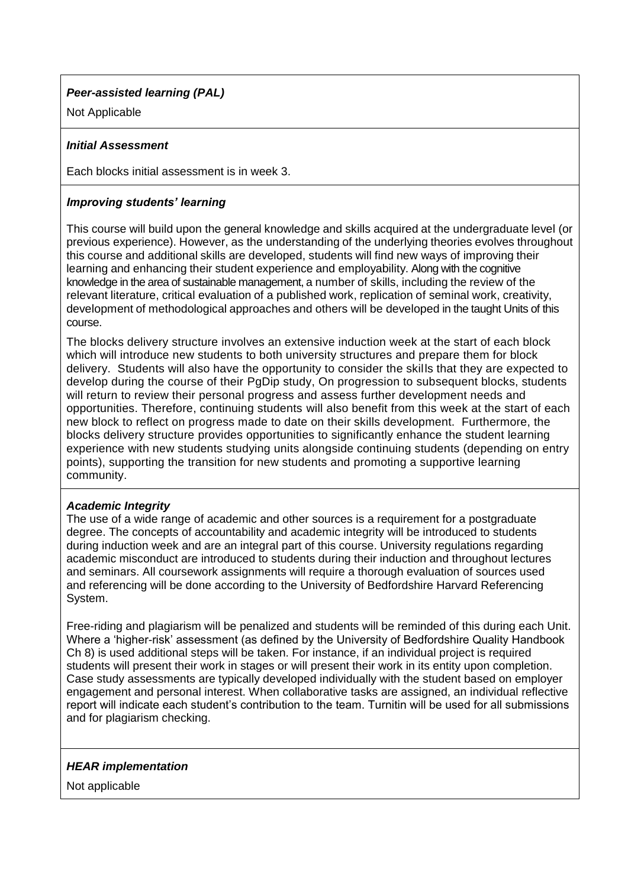#### *Peer-assisted learning (PAL)*

Not Applicable

#### *Initial Assessment*

Each blocks initial assessment is in week 3.

#### *Improving students' learning*

This course will build upon the general knowledge and skills acquired at the undergraduate level (or previous experience). However, as the understanding of the underlying theories evolves throughout this course and additional skills are developed, students will find new ways of improving their learning and enhancing their student experience and employability. Along with the cognitive knowledge in the area of sustainable management, a number of skills, including the review of the relevant literature, critical evaluation of a published work, replication of seminal work, creativity, development of methodological approaches and others will be developed in the taught Units of this course.

The blocks delivery structure involves an extensive induction week at the start of each block which will introduce new students to both university structures and prepare them for block delivery. Students will also have the opportunity to consider the skills that they are expected to develop during the course of their PgDip study, On progression to subsequent blocks, students will return to review their personal progress and assess further development needs and opportunities. Therefore, continuing students will also benefit from this week at the start of each new block to reflect on progress made to date on their skills development. Furthermore, the blocks delivery structure provides opportunities to significantly enhance the student learning experience with new students studying units alongside continuing students (depending on entry points), supporting the transition for new students and promoting a supportive learning community.

#### *Academic Integrity*

The use of a wide range of academic and other sources is a requirement for a postgraduate degree. The concepts of accountability and academic integrity will be introduced to students during induction week and are an integral part of this course. University regulations regarding academic misconduct are introduced to students during their induction and throughout lectures and seminars. All coursework assignments will require a thorough evaluation of sources used and referencing will be done according to the University of Bedfordshire Harvard Referencing System.

Free-riding and plagiarism will be penalized and students will be reminded of this during each Unit. Where a 'higher-risk' assessment (as defined by the University of Bedfordshire Quality Handbook Ch 8) is used additional steps will be taken. For instance, if an individual project is required students will present their work in stages or will present their work in its entity upon completion. Case study assessments are typically developed individually with the student based on employer engagement and personal interest. When collaborative tasks are assigned, an individual reflective report will indicate each student's contribution to the team. Turnitin will be used for all submissions and for plagiarism checking.

#### *HEAR implementation*

Not applicable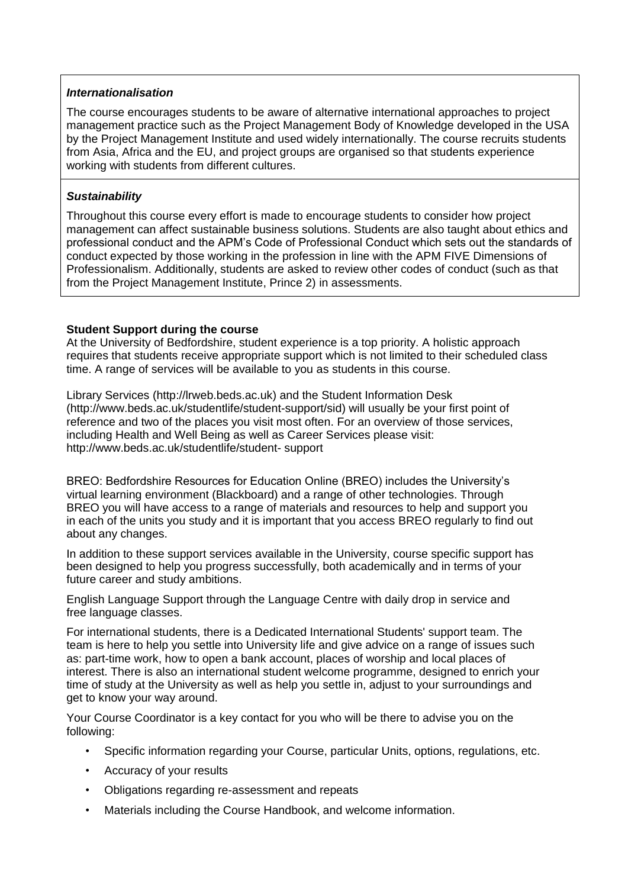#### *Internationalisation*

The course encourages students to be aware of alternative international approaches to project management practice such as the Project Management Body of Knowledge developed in the USA by the Project Management Institute and used widely internationally. The course recruits students from Asia, Africa and the EU, and project groups are organised so that students experience working with students from different cultures.

#### *Sustainability*

Throughout this course every effort is made to encourage students to consider how project management can affect sustainable business solutions. Students are also taught about ethics and professional conduct and the APM's Code of Professional Conduct which sets out the standards of conduct expected by those working in the profession in line with the APM FIVE Dimensions of Professionalism. Additionally, students are asked to review other codes of conduct (such as that from the Project Management Institute, Prince 2) in assessments.

#### **Student Support during the course**

At the University of Bedfordshire, student experience is a top priority. A holistic approach requires that students receive appropriate support which is not limited to their scheduled class time. A range of services will be available to you as students in this course.

Library Services (http://lrweb.beds.ac.uk) and the Student Information Desk (http://www.beds.ac.uk/studentlife/student-support/sid) will usually be your first point of reference and two of the places you visit most often. For an overview of those services, including Health and Well Being as well as Career Services please visit: http://www.beds.ac.uk/studentlife/student- support

BREO: Bedfordshire Resources for Education Online (BREO) includes the University's virtual learning environment (Blackboard) and a range of other technologies. Through BREO you will have access to a range of materials and resources to help and support you in each of the units you study and it is important that you access BREO regularly to find out about any changes.

In addition to these support services available in the University, course specific support has been designed to help you progress successfully, both academically and in terms of your future career and study ambitions.

English Language Support through the Language Centre with daily drop in service and free language classes.

For international students, there is a Dedicated International Students' support team. The team is here to help you settle into University life and give advice on a range of issues such as: part-time work, how to open a bank account, places of worship and local places of interest. There is also an international student welcome programme, designed to enrich your time of study at the University as well as help you settle in, adjust to your surroundings and get to know your way around.

Your Course Coordinator is a key contact for you who will be there to advise you on the following:

- Specific information regarding your Course, particular Units, options, regulations, etc.
- Accuracy of your results
- Obligations regarding re-assessment and repeats
- Materials including the Course Handbook, and welcome information.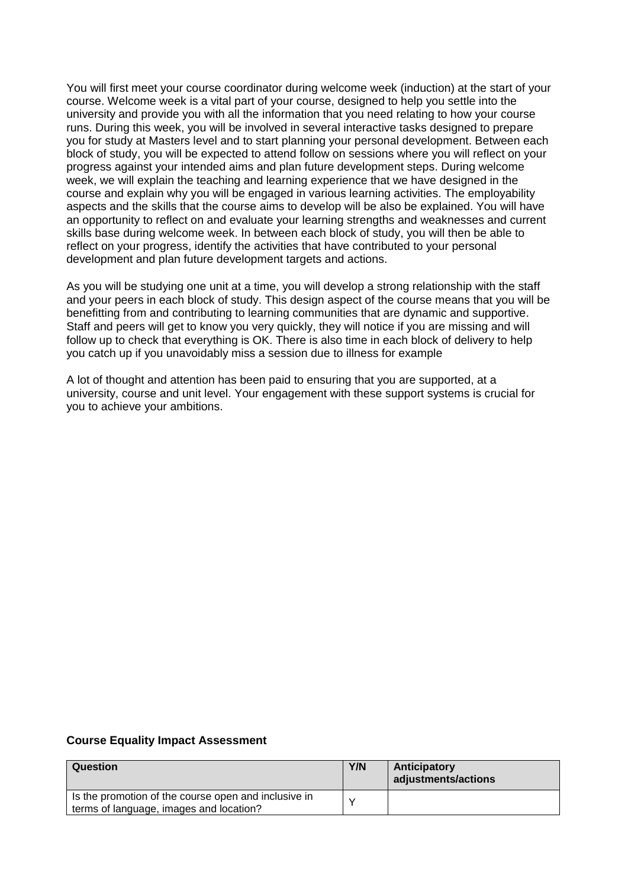You will first meet your course coordinator during welcome week (induction) at the start of your course. Welcome week is a vital part of your course, designed to help you settle into the university and provide you with all the information that you need relating to how your course runs. During this week, you will be involved in several interactive tasks designed to prepare you for study at Masters level and to start planning your personal development. Between each block of study, you will be expected to attend follow on sessions where you will reflect on your progress against your intended aims and plan future development steps. During welcome week, we will explain the teaching and learning experience that we have designed in the course and explain why you will be engaged in various learning activities. The employability aspects and the skills that the course aims to develop will be also be explained. You will have an opportunity to reflect on and evaluate your learning strengths and weaknesses and current skills base during welcome week. In between each block of study, you will then be able to reflect on your progress, identify the activities that have contributed to your personal development and plan future development targets and actions.

As you will be studying one unit at a time, you will develop a strong relationship with the staff and your peers in each block of study. This design aspect of the course means that you will be benefitting from and contributing to learning communities that are dynamic and supportive. Staff and peers will get to know you very quickly, they will notice if you are missing and will follow up to check that everything is OK. There is also time in each block of delivery to help you catch up if you unavoidably miss a session due to illness for example

A lot of thought and attention has been paid to ensuring that you are supported, at a university, course and unit level. Your engagement with these support systems is crucial for you to achieve your ambitions.

#### **Course Equality Impact Assessment**

| Question                                                                                        | Y/N | Anticipatory<br>adjustments/actions |
|-------------------------------------------------------------------------------------------------|-----|-------------------------------------|
| Is the promotion of the course open and inclusive in<br>terms of language, images and location? |     |                                     |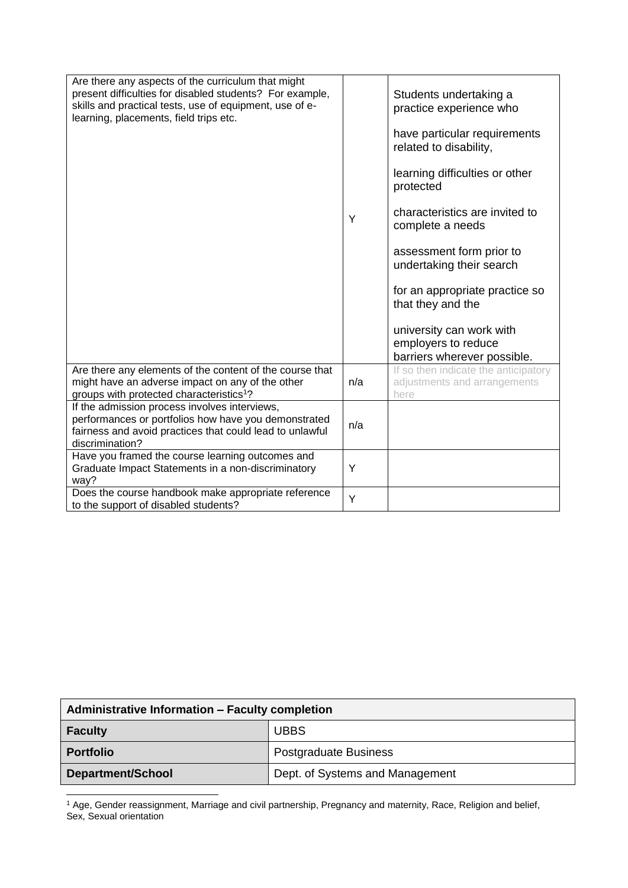| Are there any aspects of the curriculum that might<br>present difficulties for disabled students? For example,<br>skills and practical tests, use of equipment, use of e-<br>learning, placements, field trips etc. | Y   | Students undertaking a<br>practice experience who<br>have particular requirements<br>related to disability,<br>learning difficulties or other<br>protected<br>characteristics are invited to<br>complete a needs<br>assessment form prior to<br>undertaking their search |
|---------------------------------------------------------------------------------------------------------------------------------------------------------------------------------------------------------------------|-----|--------------------------------------------------------------------------------------------------------------------------------------------------------------------------------------------------------------------------------------------------------------------------|
|                                                                                                                                                                                                                     |     | for an appropriate practice so<br>that they and the<br>university can work with<br>employers to reduce                                                                                                                                                                   |
| Are there any elements of the content of the course that<br>might have an adverse impact on any of the other<br>groups with protected characteristics <sup>1</sup> ?                                                | n/a | barriers wherever possible.<br>If so then indicate the anticipatory<br>adjustments and arrangements<br>here                                                                                                                                                              |
| If the admission process involves interviews,<br>performances or portfolios how have you demonstrated<br>fairness and avoid practices that could lead to unlawful<br>discrimination?                                | n/a |                                                                                                                                                                                                                                                                          |
| Have you framed the course learning outcomes and<br>Graduate Impact Statements in a non-discriminatory<br>way?                                                                                                      | Y   |                                                                                                                                                                                                                                                                          |
| Does the course handbook make appropriate reference<br>to the support of disabled students?                                                                                                                         | Y   |                                                                                                                                                                                                                                                                          |

| Administrative Information - Faculty completion |                                 |  |  |  |  |
|-------------------------------------------------|---------------------------------|--|--|--|--|
| <b>Faculty</b>                                  | <b>UBBS</b>                     |  |  |  |  |
| <b>Portfolio</b>                                | Postgraduate Business           |  |  |  |  |
| <b>Department/School</b>                        | Dept. of Systems and Management |  |  |  |  |

<sup>1</sup> Age, Gender reassignment, Marriage and civil partnership, Pregnancy and maternity, Race, Religion and belief, Sex, Sexual orientation

 $\overline{a}$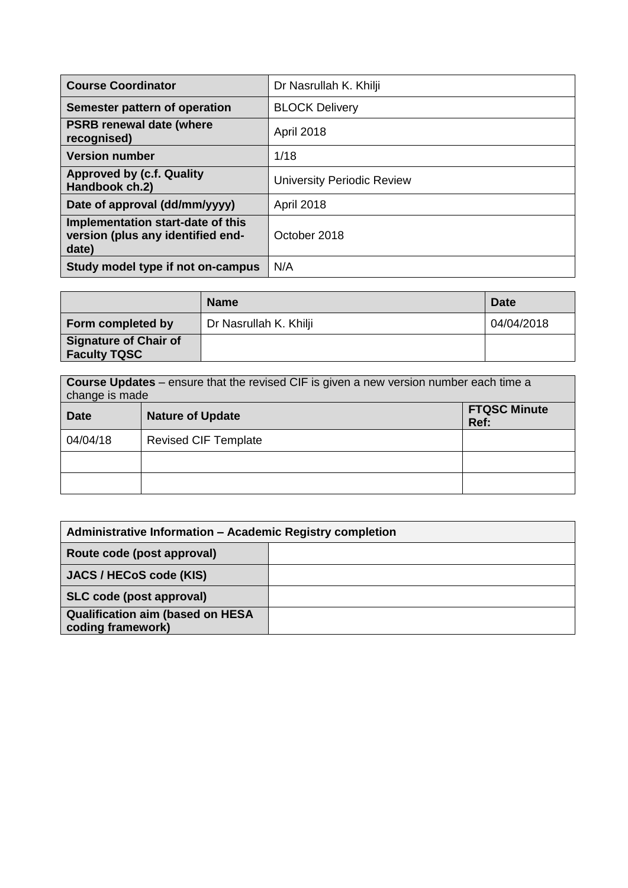| <b>Course Coordinator</b>                                                       | Dr Nasrullah K. Khilji            |
|---------------------------------------------------------------------------------|-----------------------------------|
| Semester pattern of operation                                                   | <b>BLOCK Delivery</b>             |
| <b>PSRB renewal date (where</b><br>recognised)                                  | April 2018                        |
| <b>Version number</b>                                                           | 1/18                              |
| <b>Approved by (c.f. Quality)</b><br>Handbook ch.2)                             | <b>University Periodic Review</b> |
| Date of approval (dd/mm/yyyy)                                                   | April 2018                        |
| Implementation start-date of this<br>version (plus any identified end-<br>date) | October 2018                      |
| Study model type if not on-campus                                               | N/A                               |

|                                                     | <b>Name</b>            | <b>Date</b> |
|-----------------------------------------------------|------------------------|-------------|
| Form completed by                                   | Dr Nasrullah K. Khilji | 04/04/2018  |
| <b>Signature of Chair of</b><br><b>Faculty TQSC</b> |                        |             |

| change is made | <b>Course Updates</b> – ensure that the revised CIF is given a new version number each time a |                             |
|----------------|-----------------------------------------------------------------------------------------------|-----------------------------|
| <b>Date</b>    | <b>Nature of Update</b>                                                                       | <b>FTQSC Minute</b><br>Ref: |
| 04/04/18       | <b>Revised CIF Template</b>                                                                   |                             |
|                |                                                                                               |                             |
|                |                                                                                               |                             |

| Administrative Information - Academic Registry completion    |  |  |  |  |  |
|--------------------------------------------------------------|--|--|--|--|--|
| Route code (post approval)                                   |  |  |  |  |  |
| JACS / HECoS code (KIS)                                      |  |  |  |  |  |
| SLC code (post approval)                                     |  |  |  |  |  |
| <b>Qualification aim (based on HESA</b><br>coding framework) |  |  |  |  |  |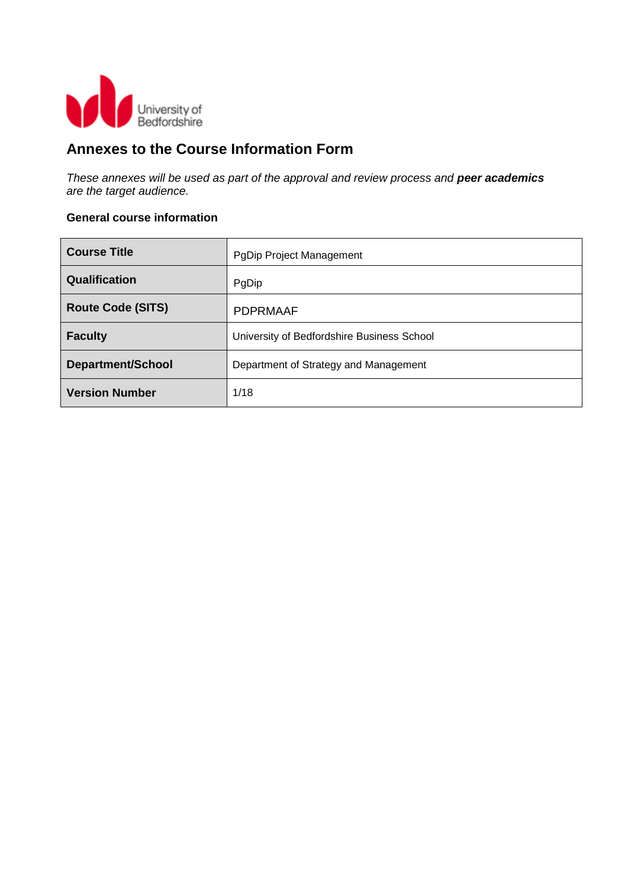

## **Annexes to the Course Information Form**

*These annexes will be used as part of the approval and review process and peer academics are the target audience.*

#### **General course information**

| <b>Course Title</b>      | PgDip Project Management                   |
|--------------------------|--------------------------------------------|
| Qualification            | PgDip                                      |
| <b>Route Code (SITS)</b> | <b>PDPRMAAF</b>                            |
| <b>Faculty</b>           | University of Bedfordshire Business School |
| <b>Department/School</b> | Department of Strategy and Management      |
| <b>Version Number</b>    | 1/18                                       |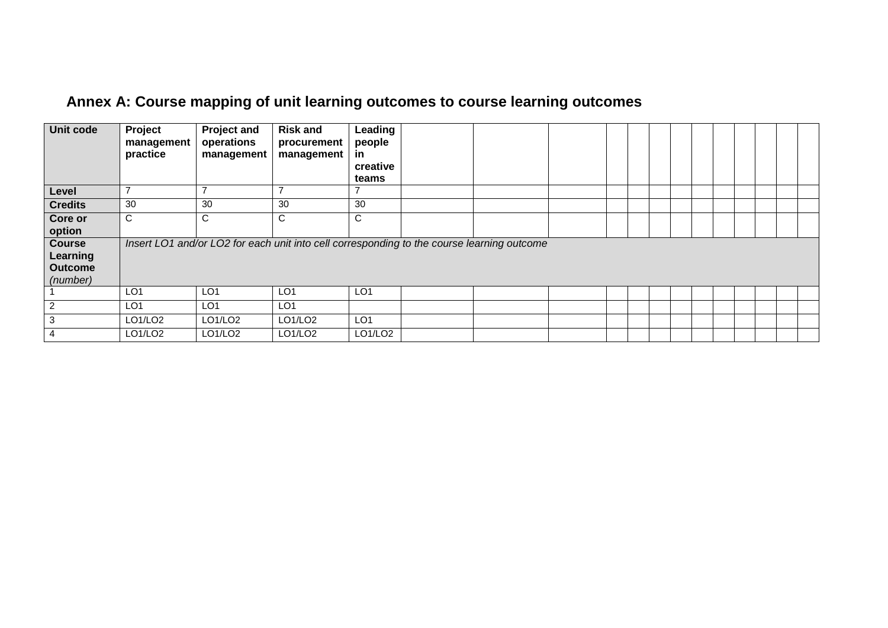| Unit code                                               | Project<br>management | <b>Project and</b><br>operations | <b>Risk and</b><br>procurement                                                             | Leading<br>people |  |  |  |  |  |  |  |
|---------------------------------------------------------|-----------------------|----------------------------------|--------------------------------------------------------------------------------------------|-------------------|--|--|--|--|--|--|--|
|                                                         | practice              | management                       | management                                                                                 | -in<br>creative   |  |  |  |  |  |  |  |
|                                                         |                       |                                  |                                                                                            | teams             |  |  |  |  |  |  |  |
| Level                                                   | ⇁                     | ⇁                                |                                                                                            |                   |  |  |  |  |  |  |  |
| <b>Credits</b>                                          | 30                    | 30                               | 30                                                                                         | 30                |  |  |  |  |  |  |  |
| Core or<br>option                                       | C                     | C                                | С                                                                                          | C                 |  |  |  |  |  |  |  |
| <b>Course</b><br>Learning<br><b>Outcome</b><br>(number) |                       |                                  | Insert LO1 and/or LO2 for each unit into cell corresponding to the course learning outcome |                   |  |  |  |  |  |  |  |
|                                                         | LO <sub>1</sub>       | LO <sub>1</sub>                  | LO <sub>1</sub>                                                                            | LO <sub>1</sub>   |  |  |  |  |  |  |  |
| $\overline{2}$                                          | LO <sub>1</sub>       | LO <sub>1</sub>                  | LO <sub>1</sub>                                                                            |                   |  |  |  |  |  |  |  |
| $\mathbf{3}$                                            | LO1/LO2               | LO1/LO2                          | LO1/LO2                                                                                    | LO <sub>1</sub>   |  |  |  |  |  |  |  |
| $\overline{4}$                                          | LO1/LO2               | LO1/LO2                          | LO1/LO2                                                                                    | LO1/LO2           |  |  |  |  |  |  |  |

# **Annex A: Course mapping of unit learning outcomes to course learning outcomes**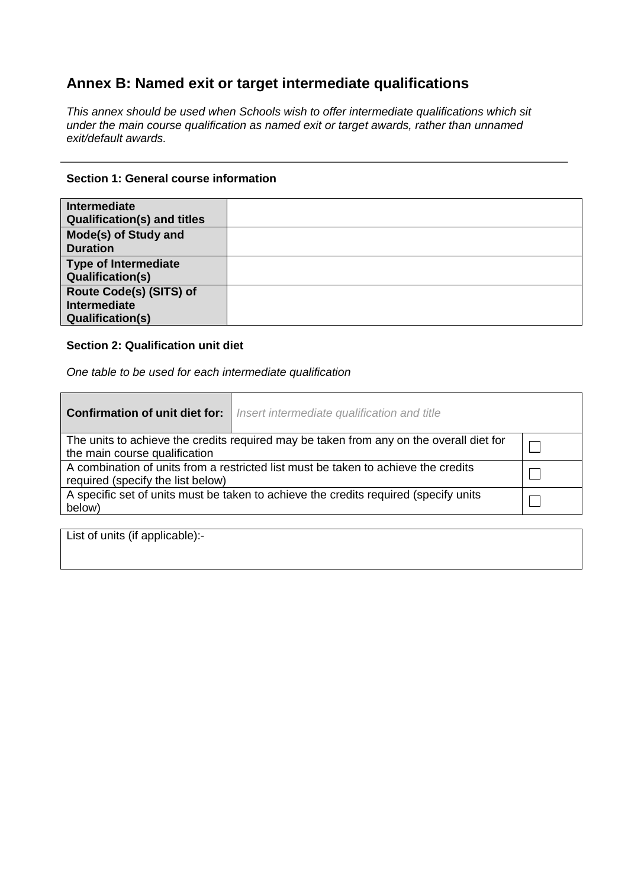## **Annex B: Named exit or target intermediate qualifications**

*This annex should be used when Schools wish to offer intermediate qualifications which sit under the main course qualification as named exit or target awards, rather than unnamed exit/default awards.*

#### **Section 1: General course information**

| <b>Intermediate</b><br><b>Qualification(s) and titles</b>                 |  |
|---------------------------------------------------------------------------|--|
| Mode(s) of Study and<br><b>Duration</b>                                   |  |
| <b>Type of Intermediate</b><br><b>Qualification(s)</b>                    |  |
| Route Code(s) (SITS) of<br><b>Intermediate</b><br><b>Qualification(s)</b> |  |

#### **Section 2: Qualification unit diet**

*One table to be used for each intermediate qualification*

| <b>Confirmation of unit diet for:</b>                                                                                    | Insert intermediate qualification and title |  |  |  |  |  |
|--------------------------------------------------------------------------------------------------------------------------|---------------------------------------------|--|--|--|--|--|
| The units to achieve the credits required may be taken from any on the overall diet for<br>the main course qualification |                                             |  |  |  |  |  |
| A combination of units from a restricted list must be taken to achieve the credits<br>required (specify the list below)  |                                             |  |  |  |  |  |
| A specific set of units must be taken to achieve the credits required (specify units<br>below)                           |                                             |  |  |  |  |  |

List of units (if applicable):-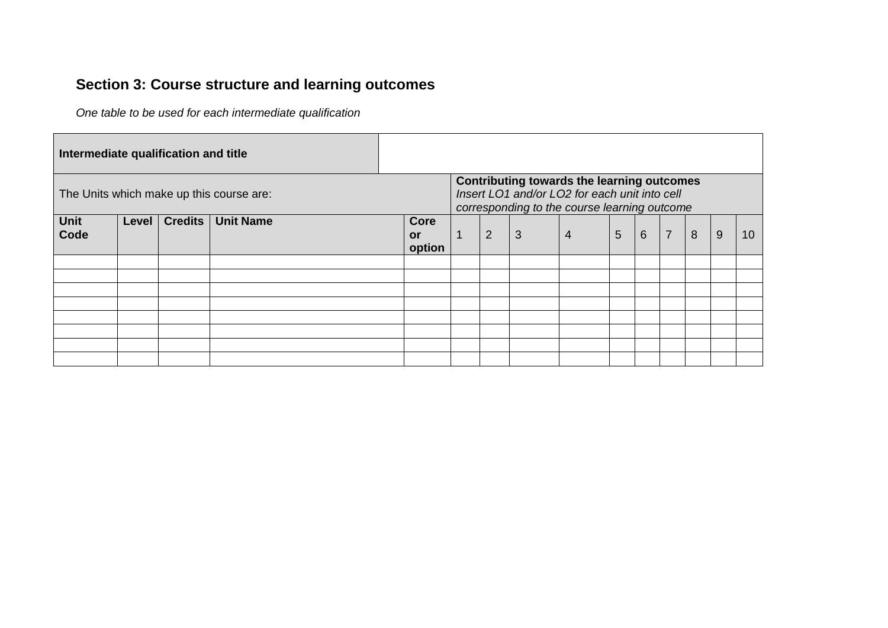## **Section 3: Course structure and learning outcomes**

*One table to be used for each intermediate qualification*

| Intermediate qualification and title     |       |                |                  |                                                                                                                                             |                |             |              |                |                |                 |                |   |   |                 |
|------------------------------------------|-------|----------------|------------------|---------------------------------------------------------------------------------------------------------------------------------------------|----------------|-------------|--------------|----------------|----------------|-----------------|----------------|---|---|-----------------|
| The Units which make up this course are: |       |                |                  | Contributing towards the learning outcomes<br>Insert LO1 and/or LO2 for each unit into cell<br>corresponding to the course learning outcome |                |             |              |                |                |                 |                |   |   |                 |
| Unit<br>Code                             | Level | <b>Credits</b> | <b>Unit Name</b> | <b>Core</b><br><b>or</b><br>option                                                                                                          | $\overline{1}$ | $2^{\circ}$ | $\mathbf{3}$ | $\overline{4}$ | $5\phantom{1}$ | $6\overline{6}$ | $\overline{7}$ | 8 | 9 | 10 <sup>°</sup> |
|                                          |       |                |                  |                                                                                                                                             |                |             |              |                |                |                 |                |   |   |                 |
|                                          |       |                |                  |                                                                                                                                             |                |             |              |                |                |                 |                |   |   |                 |
|                                          |       |                |                  |                                                                                                                                             |                |             |              |                |                |                 |                |   |   |                 |
|                                          |       |                |                  |                                                                                                                                             |                |             |              |                |                |                 |                |   |   |                 |
|                                          |       |                |                  |                                                                                                                                             |                |             |              |                |                |                 |                |   |   |                 |
|                                          |       |                |                  |                                                                                                                                             |                |             |              |                |                |                 |                |   |   |                 |
|                                          |       |                |                  |                                                                                                                                             |                |             |              |                |                |                 |                |   |   |                 |
|                                          |       |                |                  |                                                                                                                                             |                |             |              |                |                |                 |                |   |   |                 |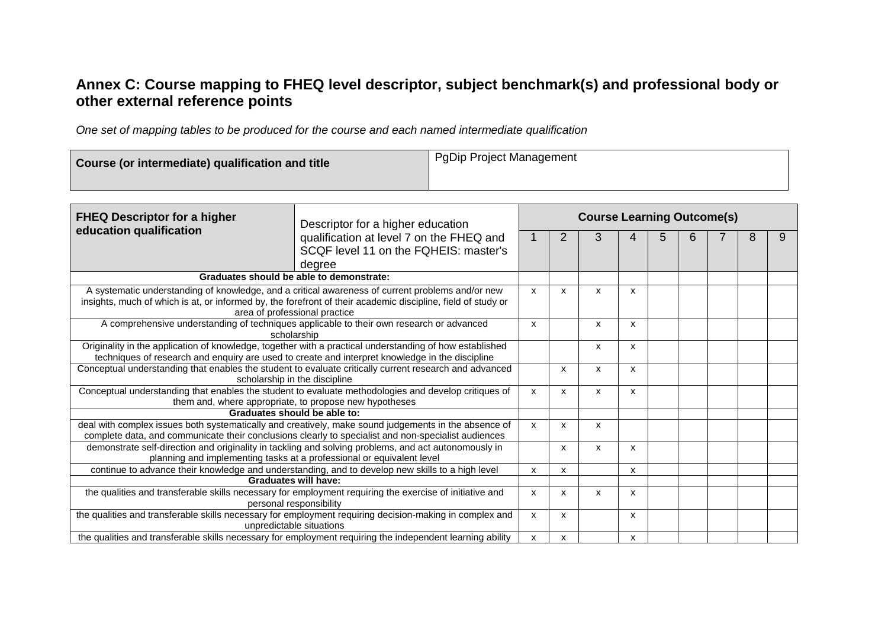### **Annex C: Course mapping to FHEQ level descriptor, subject benchmark(s) and professional body or other external reference points**

*One set of mapping tables to be produced for the course and each named intermediate qualification*

| Course (or intermediate) qualification and title | <b>PgDip Project Management</b> |
|--------------------------------------------------|---------------------------------|
|--------------------------------------------------|---------------------------------|

| <b>FHEQ Descriptor for a higher</b>                                                                    | Descriptor for a higher education                                                                                                                                             | <b>Course Learning Outcome(s)</b> |                           |   |   |   |  |   |   |  |  |  |  |
|--------------------------------------------------------------------------------------------------------|-------------------------------------------------------------------------------------------------------------------------------------------------------------------------------|-----------------------------------|---------------------------|---|---|---|--|---|---|--|--|--|--|
| education qualification                                                                                |                                                                                                                                                                               | 2                                 | 3                         |   | 5 | 6 |  | 8 | 9 |  |  |  |  |
|                                                                                                        | qualification at level 7 on the FHEQ and<br>SCQF level 11 on the FQHEIS: master's                                                                                             |                                   |                           |   |   |   |  |   |   |  |  |  |  |
|                                                                                                        | degree                                                                                                                                                                        |                                   |                           |   |   |   |  |   |   |  |  |  |  |
|                                                                                                        | Graduates should be able to demonstrate:                                                                                                                                      |                                   |                           |   |   |   |  |   |   |  |  |  |  |
|                                                                                                        | A systematic understanding of knowledge, and a critical awareness of current problems and/or new                                                                              | x                                 | X                         | X | X |   |  |   |   |  |  |  |  |
|                                                                                                        | insights, much of which is at, or informed by, the forefront of their academic discipline, field of study or                                                                  |                                   |                           |   |   |   |  |   |   |  |  |  |  |
|                                                                                                        | area of professional practice                                                                                                                                                 |                                   |                           |   |   |   |  |   |   |  |  |  |  |
|                                                                                                        | A comprehensive understanding of techniques applicable to their own research or advanced<br>scholarship                                                                       | X                                 |                           | X | x |   |  |   |   |  |  |  |  |
|                                                                                                        | Originality in the application of knowledge, together with a practical understanding of how established                                                                       |                                   |                           | X | x |   |  |   |   |  |  |  |  |
| techniques of research and enquiry are used to create and interpret knowledge in the discipline        |                                                                                                                                                                               |                                   |                           |   |   |   |  |   |   |  |  |  |  |
| Conceptual understanding that enables the student to evaluate critically current research and advanced |                                                                                                                                                                               | X                                 | X                         | x |   |   |  |   |   |  |  |  |  |
| scholarship in the discipline                                                                          |                                                                                                                                                                               |                                   |                           |   |   |   |  |   |   |  |  |  |  |
|                                                                                                        | Conceptual understanding that enables the student to evaluate methodologies and develop critiques of                                                                          | X                                 | $\mathsf{x}$              | X | x |   |  |   |   |  |  |  |  |
|                                                                                                        | them and, where appropriate, to propose new hypotheses                                                                                                                        |                                   |                           |   |   |   |  |   |   |  |  |  |  |
|                                                                                                        | Graduates should be able to:                                                                                                                                                  |                                   |                           |   |   |   |  |   |   |  |  |  |  |
|                                                                                                        | deal with complex issues both systematically and creatively, make sound judgements in the absence of                                                                          | X                                 | $\mathsf{x}$              | X |   |   |  |   |   |  |  |  |  |
|                                                                                                        | complete data, and communicate their conclusions clearly to specialist and non-specialist audiences                                                                           |                                   |                           |   |   |   |  |   |   |  |  |  |  |
|                                                                                                        | demonstrate self-direction and originality in tackling and solving problems, and act autonomously in<br>planning and implementing tasks at a professional or equivalent level |                                   | X                         | X | X |   |  |   |   |  |  |  |  |
|                                                                                                        | continue to advance their knowledge and understanding, and to develop new skills to a high level                                                                              | x                                 | X                         |   | X |   |  |   |   |  |  |  |  |
|                                                                                                        | Graduates will have:                                                                                                                                                          |                                   |                           |   |   |   |  |   |   |  |  |  |  |
|                                                                                                        | the qualities and transferable skills necessary for employment requiring the exercise of initiative and                                                                       | X                                 | $\boldsymbol{\mathsf{x}}$ | X | X |   |  |   |   |  |  |  |  |
|                                                                                                        | personal responsibility                                                                                                                                                       |                                   |                           |   |   |   |  |   |   |  |  |  |  |
|                                                                                                        | the qualities and transferable skills necessary for employment requiring decision-making in complex and                                                                       | X                                 | $\boldsymbol{\mathsf{x}}$ |   | X |   |  |   |   |  |  |  |  |
|                                                                                                        | unpredictable situations                                                                                                                                                      |                                   |                           |   |   |   |  |   |   |  |  |  |  |
|                                                                                                        | the qualities and transferable skills necessary for employment requiring the independent learning ability                                                                     | x                                 | х                         |   | x |   |  |   |   |  |  |  |  |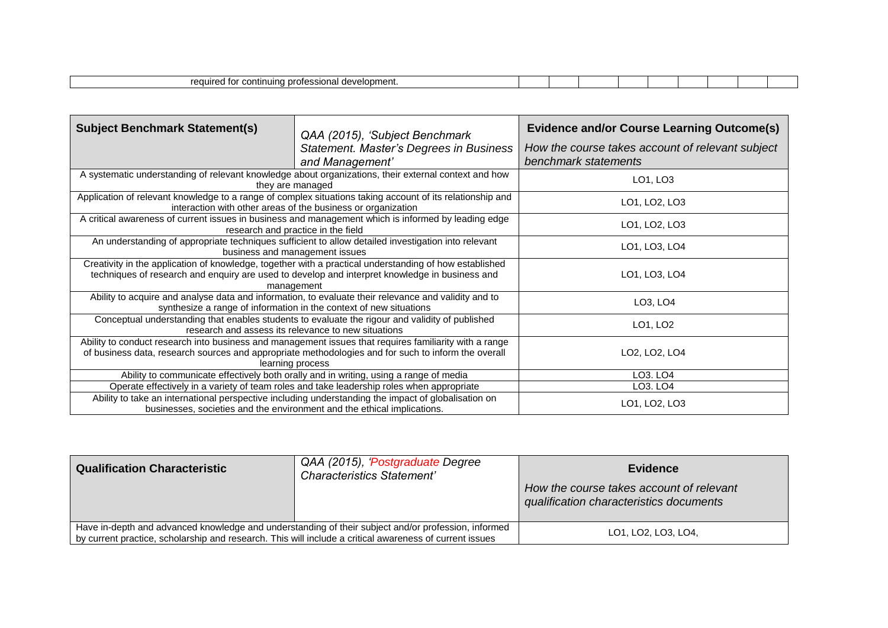| <b>PO QUE</b><br>ievelopment<br>' continuung protoccional<br><br>---<br>.<br>Guv<br>www.c<br>.<br>.<br>.<br>. |  |  |  |  |  |
|---------------------------------------------------------------------------------------------------------------|--|--|--|--|--|

| <b>Subject Benchmark Statement(s)</b>                                                                                                                                          | QAA (2015), 'Subject Benchmark<br>Statement. Master's Degrees in Business<br>and Management'                                                                                                                                      | <b>Evidence and/or Course Learning Outcome(s)</b><br>How the course takes account of relevant subject<br>benchmark statements |
|--------------------------------------------------------------------------------------------------------------------------------------------------------------------------------|-----------------------------------------------------------------------------------------------------------------------------------------------------------------------------------------------------------------------------------|-------------------------------------------------------------------------------------------------------------------------------|
|                                                                                                                                                                                | A systematic understanding of relevant knowledge about organizations, their external context and how<br>they are managed                                                                                                          | LO1, LO3                                                                                                                      |
|                                                                                                                                                                                | Application of relevant knowledge to a range of complex situations taking account of its relationship and<br>interaction with other areas of the business or organization                                                         | LO1, LO2, LO3                                                                                                                 |
|                                                                                                                                                                                | A critical awareness of current issues in business and management which is informed by leading edge<br>research and practice in the field                                                                                         | LO1, LO2, LO3                                                                                                                 |
|                                                                                                                                                                                | An understanding of appropriate techniques sufficient to allow detailed investigation into relevant<br>business and management issues                                                                                             | LO1, LO3, LO4                                                                                                                 |
|                                                                                                                                                                                | Creativity in the application of knowledge, together with a practical understanding of how established<br>techniques of research and enquiry are used to develop and interpret knowledge in business and<br>management            | LO1, LO3, LO4                                                                                                                 |
|                                                                                                                                                                                | Ability to acquire and analyse data and information, to evaluate their relevance and validity and to<br>synthesize a range of information in the context of new situations                                                        | LO3, LO4                                                                                                                      |
|                                                                                                                                                                                | Conceptual understanding that enables students to evaluate the rigour and validity of published<br>research and assess its relevance to new situations                                                                            | LO1, LO2                                                                                                                      |
|                                                                                                                                                                                | Ability to conduct research into business and management issues that requires familiarity with a range<br>of business data, research sources and appropriate methodologies and for such to inform the overall<br>learning process | LO2, LO2, LO4                                                                                                                 |
|                                                                                                                                                                                | Ability to communicate effectively both orally and in writing, using a range of media                                                                                                                                             | LO <sub>3</sub> . LO <sub>4</sub>                                                                                             |
|                                                                                                                                                                                | Operate effectively in a variety of team roles and take leadership roles when appropriate                                                                                                                                         | LO <sub>3</sub> . LO <sub>4</sub>                                                                                             |
| Ability to take an international perspective including understanding the impact of globalisation on<br>businesses, societies and the environment and the ethical implications. | LO1, LO2, LO3                                                                                                                                                                                                                     |                                                                                                                               |

| <b>Qualification Characteristic</b>                                                                                                                                                                            | QAA (2015), 'Postgraduate Degree<br>Characteristics Statement' | <b>Evidence</b><br>How the course takes account of relevant<br>qualification characteristics documents |
|----------------------------------------------------------------------------------------------------------------------------------------------------------------------------------------------------------------|----------------------------------------------------------------|--------------------------------------------------------------------------------------------------------|
| Have in-depth and advanced knowledge and understanding of their subject and/or profession, informed<br>by current practice, scholarship and research. This will include a critical awareness of current issues | LO1, LO2, LO3, LO4,                                            |                                                                                                        |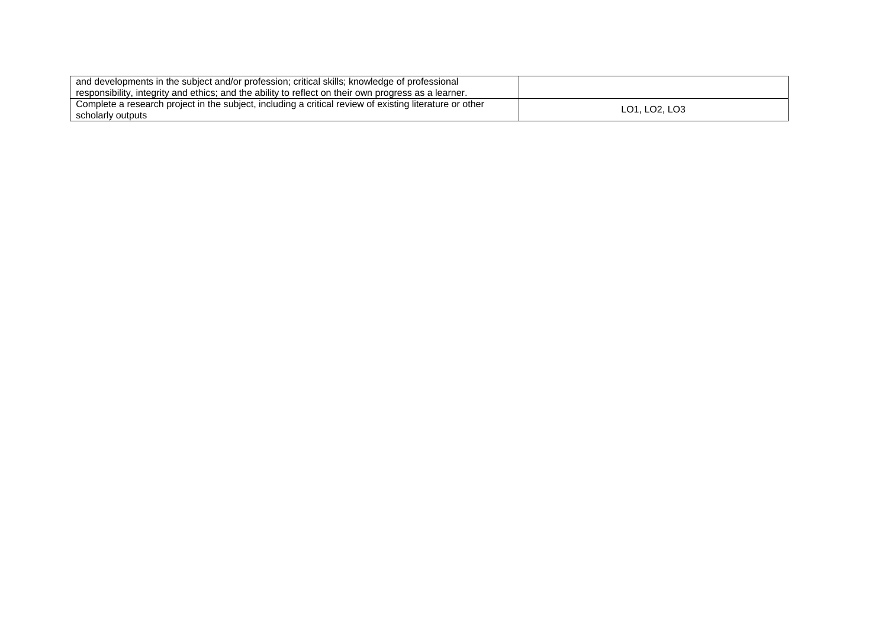| and developments in the subject and/or profession; critical skills; knowledge of professional           |               |
|---------------------------------------------------------------------------------------------------------|---------------|
| responsibility, integrity and ethics; and the ability to reflect on their own progress as a learner.    |               |
| Complete a research project in the subject, including a critical review of existing literature or other | LO1. LO2. LO3 |
| scholarly outputs                                                                                       |               |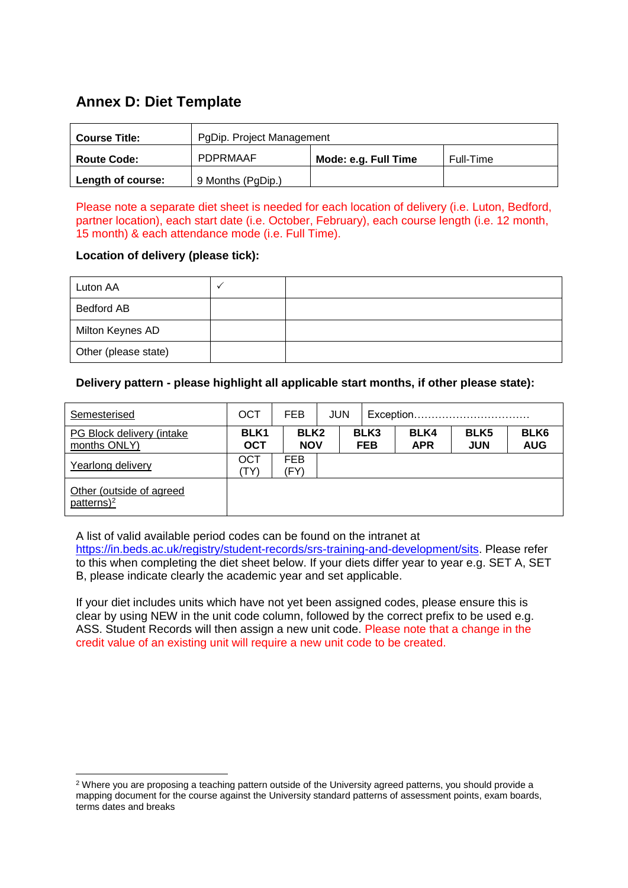### **Annex D: Diet Template**

| <b>Course Title:</b> | PgDip. Project Management |                      |           |  |  |  |  |  |  |
|----------------------|---------------------------|----------------------|-----------|--|--|--|--|--|--|
| <b>Route Code:</b>   | <b>PDPRMAAF</b>           | Mode: e.g. Full Time | Full-Time |  |  |  |  |  |  |
| Length of course:    | 9 Months (PgDip.)         |                      |           |  |  |  |  |  |  |

Please note a separate diet sheet is needed for each location of delivery (i.e. Luton, Bedford, partner location), each start date (i.e. October, February), each course length (i.e. 12 month, 15 month) & each attendance mode (i.e. Full Time).

#### **Location of delivery (please tick):**

-

| Luton AA             |  |
|----------------------|--|
| <b>Bedford AB</b>    |  |
| Milton Keynes AD     |  |
| Other (please state) |  |

#### **Delivery pattern - please highlight all applicable start months, if other please state):**

| Semesterised                               | OCT                            | <b>FEB</b>                     | <b>JUN</b> |                                | Exception |                    |                                |                                |  |
|--------------------------------------------|--------------------------------|--------------------------------|------------|--------------------------------|-----------|--------------------|--------------------------------|--------------------------------|--|
| PG Block delivery (intake<br>months ONLY)  | BLK <sub>1</sub><br><b>OCT</b> | BLK <sub>2</sub><br><b>NOV</b> |            | BLK <sub>3</sub><br><b>FEB</b> |           | BLK4<br><b>APR</b> | BLK <sub>5</sub><br><b>JUN</b> | BLK <sub>6</sub><br><b>AUG</b> |  |
| Yearlong delivery                          | OCT<br>TY)                     | <b>FEB</b><br>(FY)             |            |                                |           |                    |                                |                                |  |
| Other (outside of agreed<br>patterns $)^2$ |                                |                                |            |                                |           |                    |                                |                                |  |

A list of valid available period codes can be found on the intranet at

[https://in.beds.ac.uk/registry/student-records/srs-training-and-development/sits.](https://in.beds.ac.uk/registry/student-records/srs-training-and-development/sits) Please refer to this when completing the diet sheet below. If your diets differ year to year e.g. SET A, SET B, please indicate clearly the academic year and set applicable.

If your diet includes units which have not yet been assigned codes, please ensure this is clear by using NEW in the unit code column, followed by the correct prefix to be used e.g. ASS. Student Records will then assign a new unit code. Please note that a change in the credit value of an existing unit will require a new unit code to be created.

<sup>&</sup>lt;sup>2</sup> Where you are proposing a teaching pattern outside of the University agreed patterns, you should provide a mapping document for the course against the University standard patterns of assessment points, exam boards, terms dates and breaks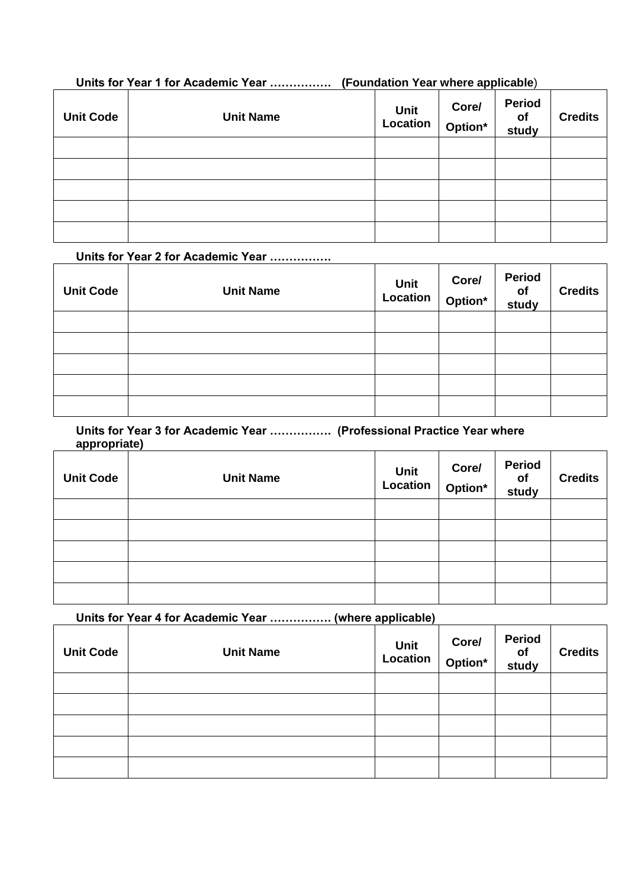### **Units for Year 1 for Academic Year ……………. (Foundation Year where applicable**)

| <b>Unit Code</b> | <b>Unit Name</b> | Unit Core/<br>Location Option* | <b>Period</b><br>of<br>study | <b>Credits</b> |
|------------------|------------------|--------------------------------|------------------------------|----------------|
|                  |                  |                                |                              |                |
|                  |                  |                                |                              |                |
|                  |                  |                                |                              |                |
|                  |                  |                                |                              |                |
|                  |                  |                                |                              |                |

#### **Units for Year 2 for Academic Year …………….**

| <b>Unit Code</b> | <b>Unit Name</b> | $\begin{array}{c c} \text{Unit} & \text{Out} \ \text{Location} & \text{Option}^* \end{array}$ | Core/ | <b>Period</b><br>of<br>study | <b>Credits</b> |
|------------------|------------------|-----------------------------------------------------------------------------------------------|-------|------------------------------|----------------|
|                  |                  |                                                                                               |       |                              |                |
|                  |                  |                                                                                               |       |                              |                |
|                  |                  |                                                                                               |       |                              |                |
|                  |                  |                                                                                               |       |                              |                |
|                  |                  |                                                                                               |       |                              |                |

#### **Units for Year 3 for Academic Year ……………. (Professional Practice Year where appropriate)**

| <b>Unit Code</b> | <b>Unit Name</b> | Unit $  \frac{U_{\mathsf{U}(\mathsf{G})}}{\mathsf{Option}^*}  $ | Core/ | <b>Period</b><br>of<br>study | <b>Credits</b> |
|------------------|------------------|-----------------------------------------------------------------|-------|------------------------------|----------------|
|                  |                  |                                                                 |       |                              |                |
|                  |                  |                                                                 |       |                              |                |
|                  |                  |                                                                 |       |                              |                |
|                  |                  |                                                                 |       |                              |                |
|                  |                  |                                                                 |       |                              |                |

**Units for Year 4 for Academic Year ……………. (where applicable)**

| <b>Unit Code</b> | <b>Unit Name</b> | Unit $\vert$<br>Location | Core/<br>Option* | <b>Period</b><br>of<br>study | <b>Credits</b> |
|------------------|------------------|--------------------------|------------------|------------------------------|----------------|
|                  |                  |                          |                  |                              |                |
|                  |                  |                          |                  |                              |                |
|                  |                  |                          |                  |                              |                |
|                  |                  |                          |                  |                              |                |
|                  |                  |                          |                  |                              |                |